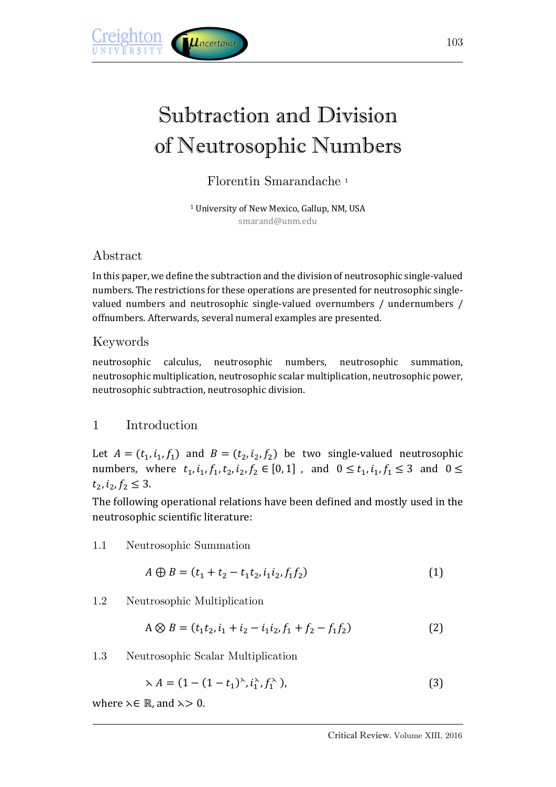

# Subtraction and Division of Neutrosophic Numbers

Florentin Smarandache <sup>1</sup>

<sup>1</sup> University of New Mexico, Gallup, NM, USA smarand@unm.edu

# Abstract

In this paper, we define the subtraction and the division of neutrosophic single-valued numbers. The restrictions for these operations are presented for neutrosophic singlevalued numbers and neutrosophic single-valued overnumbers / undernumbers / offnumbers. Afterwards, several numeral examples are presented.

# Keywords

neutrosophic calculus, neutrosophic numbers, neutrosophic summation, neutrosophic multiplication, neutrosophic scalar multiplication, neutrosophic power, neutrosophic subtraction, neutrosophic division.

# 1 Introduction

Let  $A = (t_1, i_1, f_1)$  and  $B = (t_2, i_2, f_2)$  be two single-valued neutrosophic numbers, where  $t_1$ ,  $i_1$ ,  $f_1$ ,  $t_2$ ,  $i_2$ ,  $f_2 \in [0, 1]$ , and  $0 \le t_1$ ,  $i_1$ ,  $f_1 \le 3$  and  $0 \le$  $t_2, i_2, f_2 \leq 3.$ 

The following operational relations have been defined and mostly used in the neutrosophic scientific literature:

## 1.1 Neutrosophic Summation

$$
A \oplus B = (t_1 + t_2 - t_1 t_2, i_1 i_2, f_1 f_2)
$$
\n<sup>(1)</sup>

1.2 Neutrosophic Multiplication

$$
A \otimes B = (t_1 t_2, i_1 + i_2 - i_1 i_2, f_1 + f_2 - f_1 f_2)
$$
\n(2)

1.3 Neutrosophic Scalar Multiplication

$$
\lambda A = (1 - (1 - t_1)^{\lambda}, i_1^{\lambda}, f_1^{\lambda}), \tag{3}
$$

where  $\lambda \in \mathbb{R}$ , and  $\lambda > 0$ .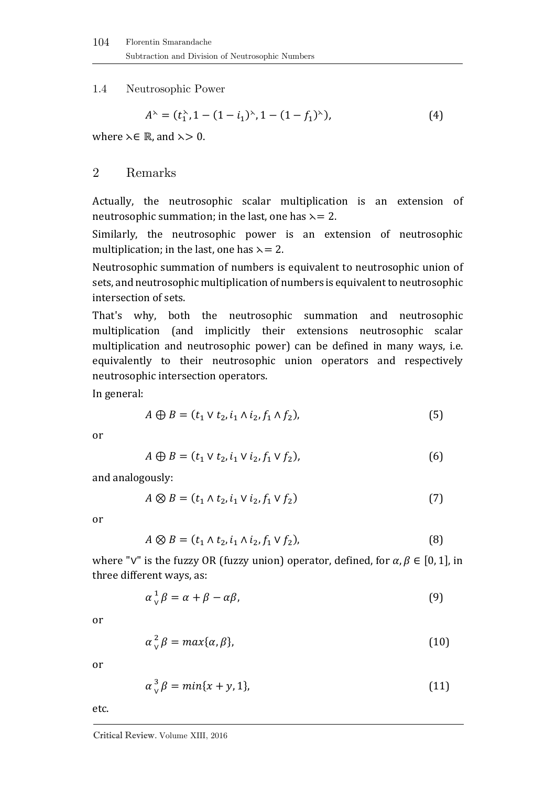1.4 Neutrosophic Power

$$
A^{\lambda} = (t_1^{\lambda}, 1 - (1 - i_1)^{\lambda}, 1 - (1 - f_1)^{\lambda}), \tag{4}
$$

where  $\lambda \in \mathbb{R}$ , and  $\lambda > 0$ .

#### 2 Remarks

Actually, the neutrosophic scalar multiplication is an extension of neutrosophic summation; in the last, one has  $\lambda = 2$ .

Similarly, the neutrosophic power is an extension of neutrosophic multiplication; in the last, one has  $\lambda = 2$ .

Neutrosophic summation of numbers is equivalent to neutrosophic union of sets, and neutrosophic multiplication of numbers is equivalent to neutrosophic intersection of sets.

That's why, both the neutrosophic summation and neutrosophic multiplication (and implicitly their extensions neutrosophic scalar multiplication and neutrosophic power) can be defined in many ways, i.e. equivalently to their neutrosophic union operators and respectively neutrosophic intersection operators.

In general:

$$
A \oplus B = (t_1 \vee t_2, i_1 \wedge i_2, f_1 \wedge f_2), \tag{5}
$$

or

$$
A \oplus B = (t_1 \vee t_2, i_1 \vee i_2, f_1 \vee f_2),
$$
\n(6)

and analogously:

$$
A \otimes B = (t_1 \wedge t_2, i_1 \vee i_2, f_1 \vee f_2) \tag{7}
$$

or

$$
A \otimes B = (t_1 \wedge t_2, i_1 \wedge i_2, f_1 \vee f_2),
$$
 (8)

where "∨" is the fuzzy OR (fuzzy union) operator, defined, for  $\alpha, \beta \in [0, 1]$ , in three different ways, as:

$$
\alpha \, {}_{\vee}^1 \beta = \alpha + \beta - \alpha \beta, \tag{9}
$$

or

$$
\alpha_{\vee}^2 \beta = \max\{\alpha, \beta\},\tag{10}
$$

or

$$
\alpha_{\vee}^3 \beta = \min\{x + y, 1\},\tag{11}
$$

etc.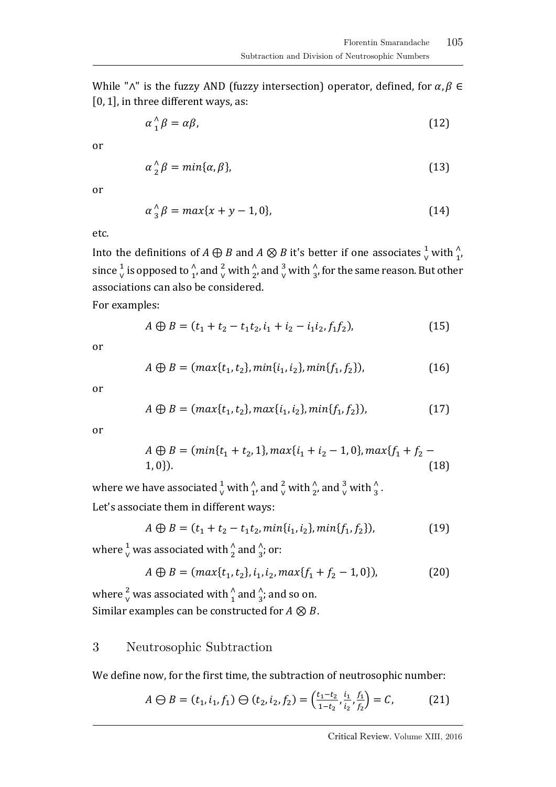While " $\wedge$ " is the fuzzy AND (fuzzy intersection) operator, defined, for  $\alpha, \beta \in$ [0, 1], in three different ways, as:

$$
\alpha_1^{\wedge} \beta = \alpha \beta, \tag{12}
$$

or

$$
\alpha^{\wedge}_2 \beta = \min\{\alpha, \beta\},\tag{13}
$$

or

$$
\alpha^{\wedge}_3 \beta = \max\{x + y - 1, 0\},\tag{14}
$$

etc.

Into the definitions of  $A \bigoplus B$  and  $A \otimes B$  it's better if one associates  $\frac{1}{v}$  with  $\frac{\wedge}{1}$ , since  $\frac{1}{v}$  is opposed to  $\frac{\lambda}{1}$ , and  $\frac{2}{v}$  with  $\frac{\lambda}{2}$ , and  $\frac{3}{v}$  with  $\frac{\lambda}{3}$ , for the same reason. But other associations can also be considered.

For examples:

$$
A \oplus B = (t_1 + t_2 - t_1 t_2, i_1 + i_2 - i_1 i_2, f_1 f_2),
$$
\n(15)

or

$$
A \oplus B = (max\{t_1, t_2\}, min\{i_1, i_2\}, min\{f_1, f_2\}),
$$
\n(16)

or

$$
A \oplus B = (max\{t_1, t_2\}, max\{i_1, i_2\}, min\{f_1, f_2\}),
$$
\n(17)

or

$$
A \oplus B = (min\{t_1 + t_2, 1\}, max\{i_1 + i_2 - 1, 0\}, max\{f_1 + f_2 - 1, 0\}).
$$
\n(18)

where we have associated  $\frac{1}{v}$  with  $\frac{\lambda}{1}$ , and  $\frac{2}{v}$  with  $\frac{\lambda}{2}$ , and  $\frac{3}{v}$  with  $\frac{\lambda}{3}$ . Let's associate them in different ways:

$$
A \oplus B = (t_1 + t_2 - t_1 t_2, min\{i_1, i_2\}, min\{f_1, f_2\}),
$$
\n(19)

where  $\frac{1}{\vee}$  was associated with  $\frac{\wedge}{2}$  and  $\frac{\wedge}{3}$ ; or:

$$
A \oplus B = (max\{t_1, t_2\}, i_1, i_2, max\{f_1 + f_2 - 1, 0\}),
$$
 (20)

where  $\frac{2}{v}$  was associated with  $\frac{\Lambda}{1}$  and  $\frac{\Lambda}{3}$ ; and so on. Similar examples can be constructed for  $A \otimes B$ .

## 3 Neutrosophic Subtraction

We define now, for the first time, the subtraction of neutrosophic number:

$$
A \ominus B = (t_1, i_1, f_1) \ominus (t_2, i_2, f_2) = \left(\frac{t_1 - t_2}{1 - t_2}, \frac{i_1}{i_2}, \frac{f_1}{f_2}\right) = C,\tag{21}
$$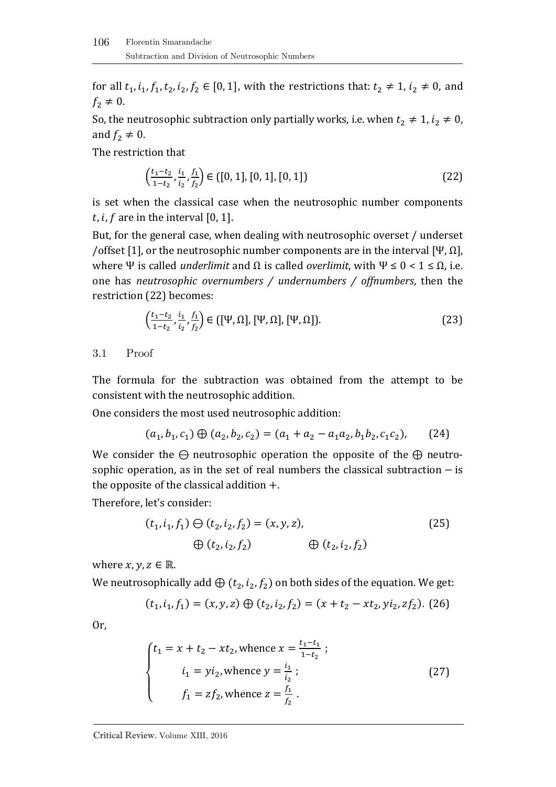for all  $t_1$ ,  $i_1$ ,  $f_1$ ,  $t_2$ ,  $i_2$ ,  $f_2 \in [0, 1]$ , with the restrictions that:  $t_2 \neq 1$ ,  $i_2 \neq 0$ , and  $f_2 \neq 0$ .

So, the neutrosophic subtraction only partially works, i.e. when  $t_2 \neq 1$ ,  $i_2 \neq 0$ , and  $f_2 \neq 0$ .

The restriction that

$$
\left(\frac{t_1 - t_2}{1 - t_2}, \frac{i_1}{i_2}, \frac{f_1}{f_2}\right) \in \left([0, 1], [0, 1], [0, 1]\right)
$$
\n(22)

is set when the classical case when the neutrosophic number components  $t, i, f$  are in the interval [0, 1].

But, for the general case, when dealing with neutrosophic overset / underset /offset [1], or the neutrosophic number components are in the interval [Ψ, Ω], where Ψ is called *underlimit* and  $Ω$  is called *overlimit*, with Ψ  $≤ 0 < 1 ≤ Ω$ , i.e. one has *neutrosophic overnumbers / undernumbers / offnumbers*, then the restriction (22) becomes:

$$
\left(\frac{t_1-t_2}{1-t_2}, \frac{t_1}{t_2}, \frac{f_1}{f_2}\right) \in \left(\left[\Psi, \Omega\right], \left[\Psi, \Omega\right], \left[\Psi, \Omega\right]\right). \tag{23}
$$

#### 3.1 Proof

The formula for the subtraction was obtained from the attempt to be consistent with the neutrosophic addition.

One considers the most used neutrosophic addition:

$$
(a_1, b_1, c_1) \oplus (a_2, b_2, c_2) = (a_1 + a_2 - a_1 a_2, b_1 b_2, c_1 c_2),
$$
 (24)

We consider the  $\ominus$  neutrosophic operation the opposite of the  $\oplus$  neutrosophic operation, as in the set of real numbers the classical subtraction – is the opposite of the classical addition  $+$ .

Therefore, let's consider:

$$
(t_1, i_1, f_1) \ominus (t_2, i_2, f_2) = (x, y, z),
$$
  

$$
\oplus (t_2, i_2, f_2) \qquad \oplus (t_2, i_2, f_2)
$$
 (25)

where  $x, y, z \in \mathbb{R}$ .

We neutrosophically add  $\oplus$   $(t_2, i_2, f_2)$  on both sides of the equation. We get:

$$
(t_1, i_1, f_1) = (x, y, z) \oplus (t_2, i_2, f_2) = (x + t_2 - xt_2, yi_2, zf_2).
$$
 (26)

Or,

$$
\begin{cases}\n t_1 = x + t_2 - xt_2, \text{ whence } x = \frac{t_1 - t_1}{1 - t_2} ; \\
i_1 = yi_2, \text{ whence } y = \frac{i_1}{i_2} ; \\
f_1 = zf_2, \text{ whence } z = \frac{f_1}{f_2} .\n\end{cases}
$$
\n(27)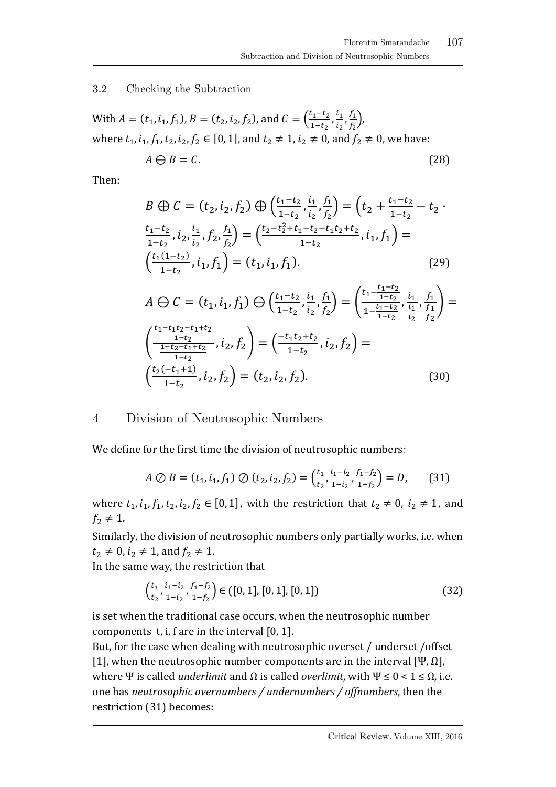3.2 Checking the Subtraction

With 
$$
A = (t_1, i_1, f_1)
$$
,  $B = (t_2, i_2, f_2)$ , and  $C = \left(\frac{t_1 - t_2}{1 - t_2}, \frac{i_1}{i_2}, \frac{f_1}{f_2}\right)$ ,  
where  $t_1, i_1, f_1, t_2, i_2, f_2 \in [0, 1]$ , and  $t_2 \neq 1, i_2 \neq 0$ , and  $f_2 \neq 0$ , we have:  
 $A \ominus B = C.$  (28)

Then:

$$
B \oplus C = (t_2, i_2, f_2) \oplus \left(\frac{t_1 - t_2}{1 - t_2}, \frac{i_1}{i_2}, \frac{f_1}{f_2}\right) = \left(t_2 + \frac{t_1 - t_2}{1 - t_2} - t_2\right)
$$

$$
\frac{t_1 - t_2}{1 - t_2}, i_2, \frac{i_1}{i_2}, f_2, \frac{f_1}{f_2}\right) = \left(\frac{t_2 - t_2^2 + t_1 - t_2 - t_1 t_2 + t_2}{1 - t_2}, i_1, f_1\right) = \left(\frac{t_1(1 - t_2)}{1 - t_2}, i_1, f_1\right) = (t_1, i_1, f_1).
$$
(29)

$$
A \ominus C = (t_1, i_1, f_1) \ominus \left(\frac{t_1 - t_2}{1 - t_2}, \frac{i_1}{i_2}, \frac{f_1}{f_2}\right) = \left(\frac{t_1 - \frac{t_1 - t_2}{1 - t_2}}{1 - \frac{t_1 - t_2}{1 - t_2}}, \frac{i_1}{i_2}, \frac{f_1}{f_2}\right) = \left(\frac{\frac{t_1 - t_1 t_2 - t_1 + t_2}{1 - t_2}}{\frac{1 - t_2 - t_1 + t_2}{1 - t_2}}, i_2, f_2\right) = \left(\frac{-t_1 t_2 + t_2}{1 - t_2}, i_2, f_2\right) = \left(\frac{t_2(-t_1 + 1)}{1 - t_2}, i_2, f_2\right) = (t_2, i_2, f_2).
$$
\n(30)

## 4 Division of Neutrosophic Numbers

We define for the first time the division of neutrosophic numbers:

$$
A \oslash B = (t_1, i_1, f_1) \oslash (t_2, i_2, f_2) = \left(\frac{t_1}{t_2}, \frac{i_1 - i_2}{1 - i_2}, \frac{f_1 - f_2}{1 - f_2}\right) = D,\tag{31}
$$

where  $t_1, i_1, f_1, t_2, i_2, f_2 \in [0, 1]$ , with the restriction that  $t_2 \neq 0$ ,  $i_2 \neq 1$ , and  $f_2 \neq 1$ .

Similarly, the division of neutrosophic numbers only partially works, i.e. when  $t_2 \neq 0$ ,  $i_2 \neq 1$ , and  $f_2 \neq 1$ .

In the same way, the restriction that

$$
\left(\frac{t_1}{t_2}, \frac{i_1 - i_2}{1 - i_2}, \frac{f_1 - f_2}{1 - f_2}\right) \in \left([0, 1], [0, 1], [0, 1]\right)
$$
\n(32)

is set when the traditional case occurs, when the neutrosophic number components t, i, f are in the interval [0, 1].

But, for the case when dealing with neutrosophic overset / underset /offset [1], when the neutrosophic number components are in the interval [Ψ, Ω], where Ψ is called *underlimit* and  $Ω$  is called *overlimit*, with Ψ ≤ 0 < 1 ≤  $Ω$ , i.e. one has *neutrosophic overnumbers / undernumbers / offnumbers*, then the restriction (31) becomes: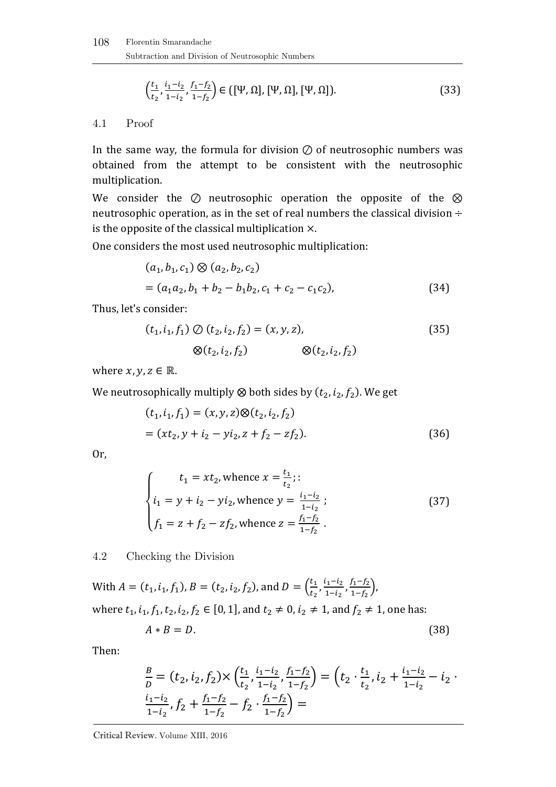$$
\left(\frac{t_1}{t_2}, \frac{i_1 - i_2}{1 - i_2}, \frac{f_1 - f_2}{1 - f_2}\right) \in \left(\left[\Psi, \Omega\right], \left[\Psi, \Omega\right], \left[\Psi, \Omega\right]\right). \tag{33}
$$

#### 4.1 Proof

In the same way, the formula for division  $\oslash$  of neutrosophic numbers was obtained from the attempt to be consistent with the neutrosophic multiplication.

We consider the ⊘ neutrosophic operation the opposite of the ⊗ neutrosophic operation, as in the set of real numbers the classical division  $\div$ is the opposite of the classical multiplication ×.

One considers the most used neutrosophic multiplication:

$$
(a_1, b_1, c_1) \otimes (a_2, b_2, c_2)
$$
  
=  $(a_1 a_2, b_1 + b_2 - b_1 b_2, c_1 + c_2 - c_1 c_2),$  (34)

Thus, let's consider:

$$
(t_1, i_1, f_1) \oslash (t_2, i_2, f_2) = (x, y, z),
$$
  
 
$$
\otimes (t_2, i_2, f_2) \qquad \qquad \otimes (t_2, i_2, f_2)
$$
 (35)

where  $x, y, z \in \mathbb{R}$ .

We neutrosophically multiply  $\otimes$  both sides by  $(t_2,i_2,f_2).$  We get

$$
(t1, i1, f1) = (x, y, z) \otimes (t2, i2, f2)
$$
  
= (xt<sub>2</sub>, y + i<sub>2</sub> - yi<sub>2</sub>, z + f<sub>2</sub> - zf<sub>2</sub>). (36)

Or,

$$
t_1 = xt_2, \text{whence } x = \frac{t_1}{t_2};:
$$
  
\n
$$
i_1 = y + i_2 - yi_2, \text{whence } y = \frac{i_1 - i_2}{1 - i_2};
$$
  
\n
$$
f_1 = z + f_2 - zf_2, \text{whence } z = \frac{f_1 - f_2}{1 - f_2}.
$$
\n(37)

4.2 Checking the Division

With  $A = (t_1, i_1, f_1)$ ,  $B = (t_2, i_2, f_2)$ , and  $D = \left(\frac{t_1}{t_2}\right)$  $\frac{t_1}{t_2}, \frac{i_1-i_2}{1-i_2}$  $\frac{i_1 - i_2}{1 - i_2}, \frac{f_1 - f_2}{1 - f_2}$  $\frac{f_1-f_2}{1-f_2}$ ), where  $t_1$ ,  $i_1$ ,  $f_1$ ,  $t_2$ ,  $i_2$ ,  $f_2 \in [0, 1]$ , and  $t_2 \neq 0$ ,  $i_2 \neq 1$ , and  $f_2 \neq 1$ , one has:

$$
A * B = D. \tag{38}
$$

Then:

$$
\frac{B}{D} = (t_2, i_2, f_2) \times \left(\frac{t_1}{t_2}, \frac{i_1 - i_2}{1 - i_2}, \frac{f_1 - f_2}{1 - f_2}\right) = \left(t_2 \cdot \frac{t_1}{t_2}, i_2 + \frac{i_1 - i_2}{1 - i_2} - i_2 \cdot \frac{i_1 - i_2}{1 - i_2}, f_2 + \frac{f_1 - f_2}{1 - f_2} - f_2 \cdot \frac{f_1 - f_2}{1 - f_2}\right) =
$$

Critical Review. Volume XIII, 2016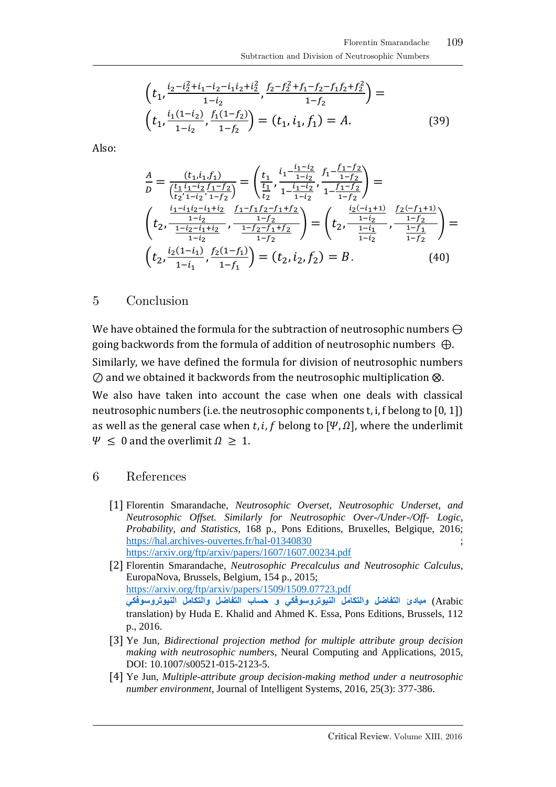$$
\left(t_1, \frac{i_2 - i_2^2 + i_1 - i_2 - i_1 i_2 + i_2^2}{1 - i_2}, \frac{f_2 - f_2^2 + f_1 - f_2 - f_1 f_2 + f_2^2}{1 - f_2}\right) =
$$
\n
$$
\left(t_1, \frac{i_1(1 - i_2)}{1 - i_2}, \frac{f_1(1 - f_2)}{1 - f_2}\right) = (t_1, i_1, f_1) = A.
$$
\n(39)

Also:

$$
\frac{A}{D} = \frac{(t_1, i_1, f_1)}{\left(\frac{t_1}{t_2}, \frac{i_1 - i_2}{1 - i_2}\right)} = \left(\frac{t_1}{t_1}, \frac{i_1 - \frac{i_1 - i_2}{1 - i_2}}{1 - \frac{i_1 - i_2}{1 - i_2}}, \frac{f_1 - \frac{f_1 - f_2}{1 - f_2}}{1 - \frac{f_1 - f_2}{1 - f_2}}\right) =
$$
\n
$$
\left(t_2, \frac{\frac{i_1 - i_1 i_2 - i_1 + i_2}{1 - i_2}, \frac{f_1 - f_1 f_2 - f_1 + f_2}{1 - f_2}}{\frac{1 - i_2}{1 - i_2}, \frac{f_1 - f_1 f_2 - f_1 + f_2}{1 - f_2}}\right) = \left(t_2, \frac{\frac{i_2(-i_1 + 1)}{1 - i_2}}{\frac{1 - i_2}{1 - i_2}}, \frac{\frac{f_2(-f_1 + 1)}{1 - f_2}}{\frac{1 - f_1}{1 - f_2}}\right) =
$$
\n
$$
\left(t_2, \frac{i_2(1 - i_1)}{1 - i_1}, \frac{f_2(1 - f_1)}{1 - f_1}\right) = (t_2, i_2, f_2) = B.
$$
\n(40)

5 Conclusion

We have obtained the formula for the subtraction of neutrosophic numbers ⊖ going backwords from the formula of addition of neutrosophic numbers  $\bigoplus$ . Similarly, we have defined the formula for division of neutrosophic numbers ⊘ and we obtained it backwords from the neutrosophic multiplication ⨂. We also have taken into account the case when one deals with classical neutrosophic numbers (i.e. the neutrosophic components t, i, f belong to [0, 1]) as well as the general case when t, i, f belong to  $[\Psi, \Omega]$ , where the underlimit

 $\Psi \leq 0$  and the overlimit  $\Omega \geq 1$ .

#### 6 References

[1] Florentin Smarandache, *Neutrosophic Overset, Neutrosophic Underset, and Neutrosophic Offset. Similarly for Neutrosophic Over-/Under-/Off- Logic, Probability, and Statistics*, 168 p., Pons Editions, Bruxelles, Belgique, 2016; <https://hal.archives-ouvertes.fr/hal-01340830> <https://arxiv.org/ftp/arxiv/papers/1607/1607.00234.pdf>

[2] Florentin Smarandache, *Neutrosophic Precalculus and Neutrosophic Calculus*, EuropaNova, Brussels, Belgium, 154 p., 2015; <https://arxiv.org/ftp/arxiv/papers/1509/1509.07723.pdf> Arabic (**[مبادئ التفاضل والتكامل النيوتروسوفكي و حساب التفاضل والتكامل النيوتروسوفكي](http://fs.gallup.unm.edu/NeutrosophicPrecalculusCalculus-ar.pdf)** translation) by Huda E. Khalid and Ahmed K. Essa, Pons Editions, Brussels, 112 p., 2016.

- [3] Ye Jun, *Bidirectional projection method for multiple attribute group decision making with neutrosophic numbers*, Neural Computing and Applications, 2015, DOI: 10.1007/s00521-015-2123-5.
- [4] Ye Jun, *Multiple-attribute group decision-making method under a neutrosophic number environment*, Journal of Intelligent Systems, 2016, 25(3): 377-386.